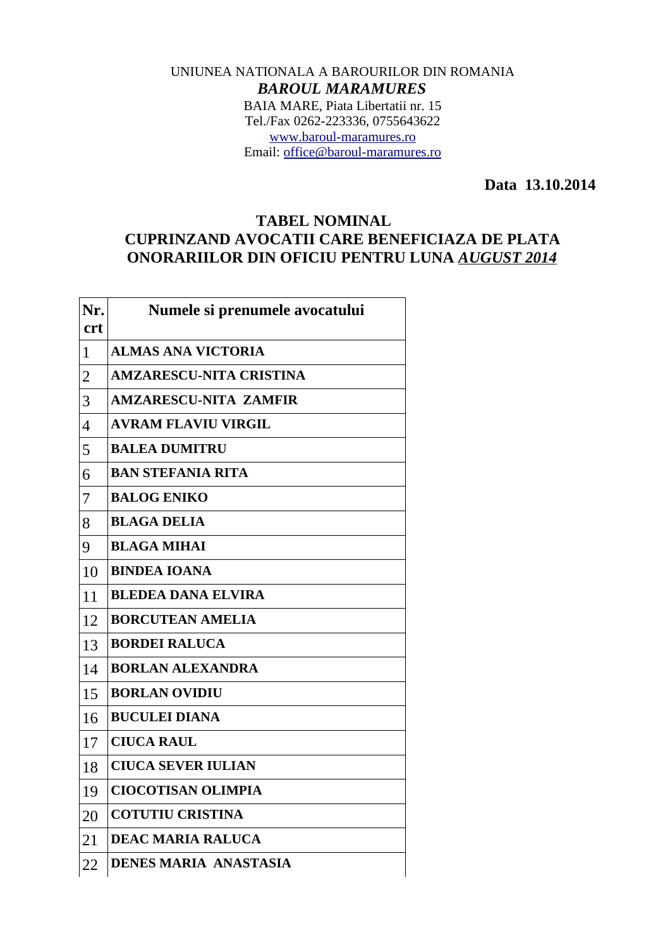## UNIUNEA NATIONALA A BAROURILOR DIN ROMANIA *BAROUL MARAMURES* BAIA MARE, Piata Libertatii nr. 15 Tel./Fax 0262-223336, 0755643622 [www.baroul-maramures.ro](http://www.baroul-maramures.ro/) Email: [office@baroul-maramures.ro](mailto:office@baroul-maramures.ro)

 **Data 13.10.2014**

## **TABEL NOMINAL CUPRINZAND AVOCATII CARE BENEFICIAZA DE PLATA ONORARIILOR DIN OFICIU PENTRU LUNA** *AUGUST 2014*

| Nr.<br><b>crt</b> | Numele si prenumele avocatului |
|-------------------|--------------------------------|
| $\mathbf{1}$      | <b>ALMAS ANA VICTORIA</b>      |
| $\overline{2}$    | <b>AMZARESCU-NITA CRISTINA</b> |
| 3                 | <b>AMZARESCU-NITA ZAMFIR</b>   |
| $\overline{4}$    | <b>AVRAM FLAVIU VIRGIL</b>     |
| 5                 | <b>BALEA DUMITRU</b>           |
| 6                 | <b>BAN STEFANIA RITA</b>       |
| 7                 | <b>BALOG ENIKO</b>             |
| 8                 | <b>BLAGA DELIA</b>             |
| 9                 | <b>BLAGA MIHAI</b>             |
| 10                | <b>BINDEA IOANA</b>            |
| 11                | <b>BLEDEA DANA ELVIRA</b>      |
| 12                | <b>BORCUTEAN AMELIA</b>        |
| 13                | <b>BORDEI RALUCA</b>           |
| 14                | <b>BORLAN ALEXANDRA</b>        |
| 15                | <b>BORLAN OVIDIU</b>           |
| 16                | <b>BUCULEI DIANA</b>           |
| 17                | <b>CIUCA RAUL</b>              |
| 18                | <b>CIUCA SEVER IULIAN</b>      |
| 19                | <b>CIOCOTISAN OLIMPIA</b>      |
| 20                | <b>COTUTIU CRISTINA</b>        |
| 21                | <b>DEAC MARIA RALUCA</b>       |
| 22                | <b>DENES MARIA ANASTASIA</b>   |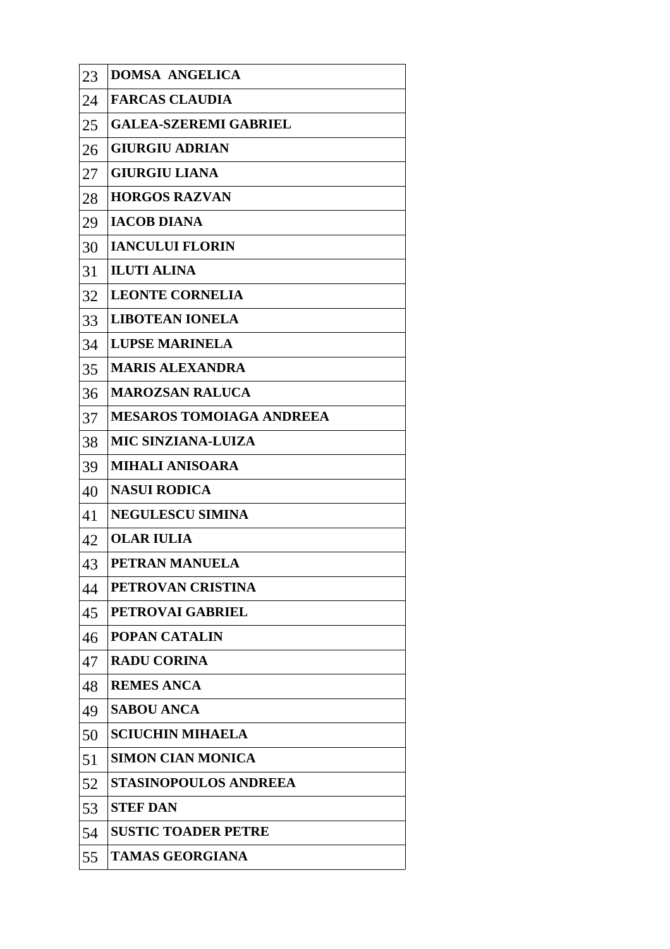| 23 | <b>DOMSA ANGELICA</b>           |
|----|---------------------------------|
| 24 | <b>FARCAS CLAUDIA</b>           |
| 25 | <b>GALEA-SZEREMI GABRIEL</b>    |
| 26 | <b>GIURGIU ADRIAN</b>           |
| 27 | <b>GIURGIU LIANA</b>            |
| 28 | <b>HORGOS RAZVAN</b>            |
| 29 | <b>IACOB DIANA</b>              |
| 30 | <b>IANCULUI FLORIN</b>          |
| 31 | <b>ILUTI ALINA</b>              |
| 32 | <b>LEONTE CORNELIA</b>          |
| 33 | <b>LIBOTEAN IONELA</b>          |
| 34 | <b>LUPSE MARINELA</b>           |
| 35 | <b>MARIS ALEXANDRA</b>          |
| 36 | <b>MAROZSAN RALUCA</b>          |
| 37 | <b>MESAROS TOMOIAGA ANDREEA</b> |
| 38 | <b>MIC SINZIANA-LUIZA</b>       |
| 39 | <b>MIHALI ANISOARA</b>          |
| 40 | <b>NASUI RODICA</b>             |
| 41 | <b>NEGULESCU SIMINA</b>         |
| 42 | <b>OLAR IULIA</b>               |
| 43 | PETRAN MANUELA                  |
| 44 | PETROVAN CRISTINA               |
| 45 | <b>PETROVAI GABRIEL</b>         |
| 46 | <b>POPAN CATALIN</b>            |
| 47 | <b>RADU CORINA</b>              |
| 48 | <b>REMES ANCA</b>               |
| 49 | <b>SABOU ANCA</b>               |
| 50 | <b>SCIUCHIN MIHAELA</b>         |
| 51 | <b>SIMON CIAN MONICA</b>        |
| 52 | <b>STASINOPOULOS ANDREEA</b>    |
| 53 | <b>STEF DAN</b>                 |
| 54 | <b>SUSTIC TOADER PETRE</b>      |
| 55 | <b>TAMAS GEORGIANA</b>          |